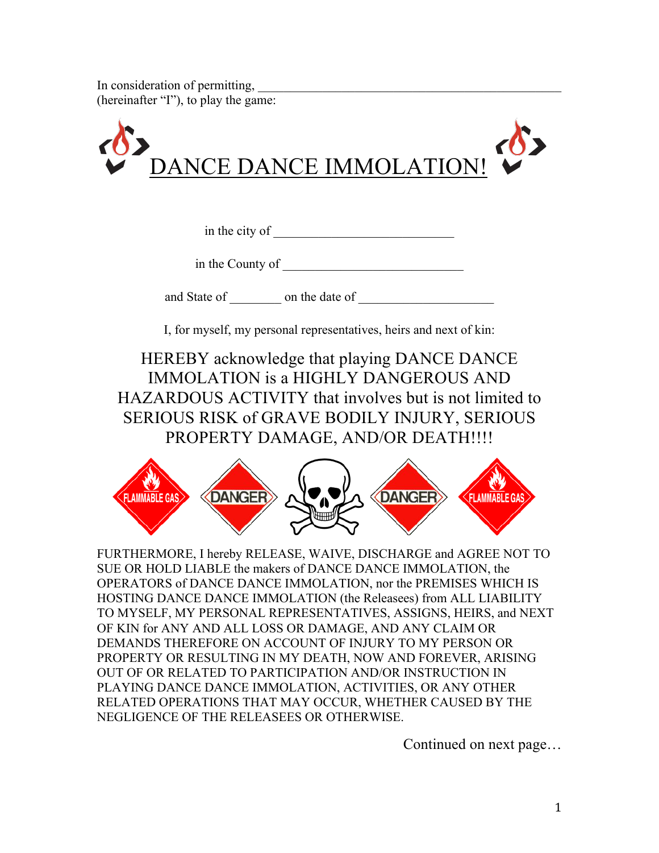In consideration of permitting, (hereinafter "I"), to play the game:



in the city of

in the County of \_\_\_\_\_\_\_\_\_\_\_\_\_\_\_\_\_\_\_\_\_\_\_\_\_\_\_\_

and State of \_\_\_\_\_\_\_\_ on the date of \_\_\_\_\_\_\_\_\_\_\_\_\_\_\_\_\_\_\_\_\_

I, for myself, my personal representatives, heirs and next of kin:

HEREBY acknowledge that playing DANCE DANCE IMMOLATION is a HIGHLY DANGEROUS AND HAZARDOUS ACTIVITY that involves but is not limited to SERIOUS RISK of GRAVE BODILY INJURY, SERIOUS PROPERTY DAMAGE, AND/OR DEATH!!!!



FURTHERMORE, I hereby RELEASE, WAIVE, DISCHARGE and AGREE NOT TO SUE OR HOLD LIABLE the makers of DANCE DANCE IMMOLATION, the OPERATORS of DANCE DANCE IMMOLATION, nor the PREMISES WHICH IS HOSTING DANCE DANCE IMMOLATION (the Releasees) from ALL LIABILITY TO MYSELF, MY PERSONAL REPRESENTATIVES, ASSIGNS, HEIRS, and NEXT OF KIN for ANY AND ALL LOSS OR DAMAGE, AND ANY CLAIM OR DEMANDS THEREFORE ON ACCOUNT OF INJURY TO MY PERSON OR PROPERTY OR RESULTING IN MY DEATH, NOW AND FOREVER, ARISING OUT OF OR RELATED TO PARTICIPATION AND/OR INSTRUCTION IN PLAYING DANCE DANCE IMMOLATION, ACTIVITIES, OR ANY OTHER RELATED OPERATIONS THAT MAY OCCUR, WHETHER CAUSED BY THE NEGLIGENCE OF THE RELEASEES OR OTHERWISE.

Continued on next page…